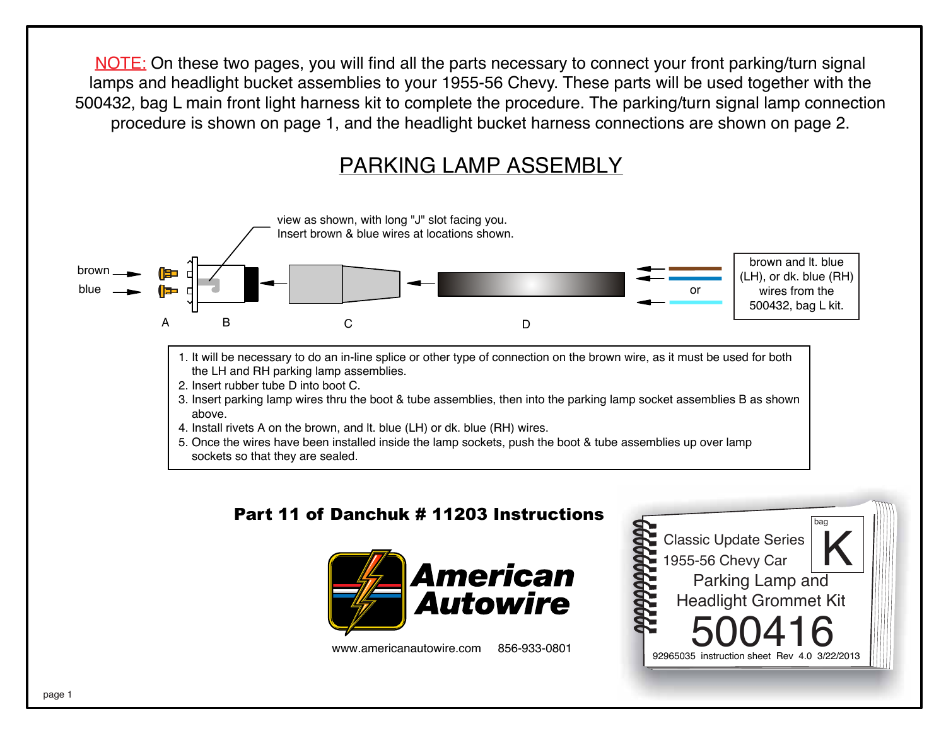NOTE: On these two pages, you will find all the parts necessary to connect your front parking/turn signal lamps and headlight bucket assemblies to your 1955-56 Chevy. These parts will be used together with the 500432, bag L main front light harness kit to complete the procedure. The parking/turn signal lamp connection procedure is shown on page 1, and the headlight bucket harness connections are shown on page 2.

## PARKING LAMP ASSEMBLY



## Part 11 of Danchuk # 11203 Instructions



www.americanautowire.com 856-933-0801